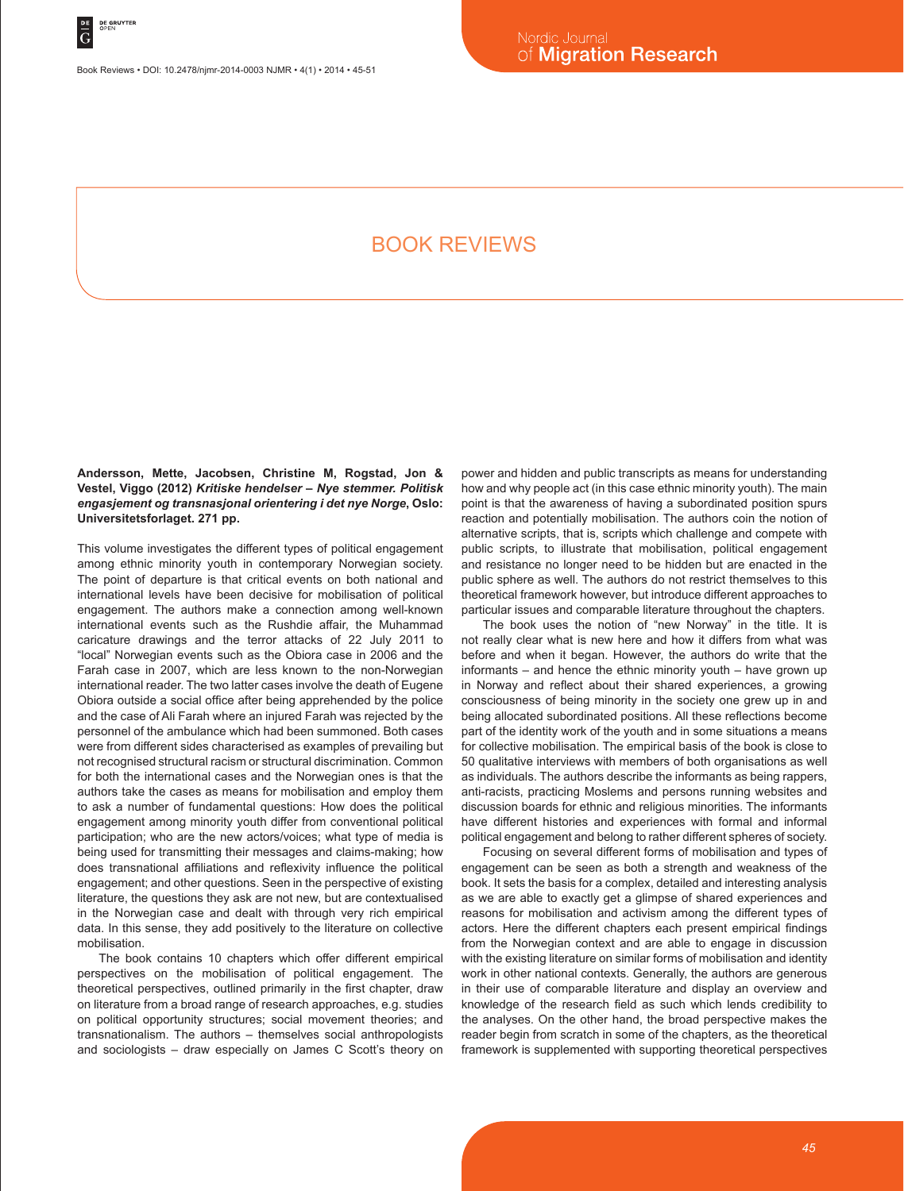Book Reviews • DOI: 10.2478/njmr-2014-0003 NJMR • 4(1) • 2014 • 45-51

# BOOK REVIEWS

**Andersson, Mette, Jacobsen, Christine M, Rogstad, Jon & Vestel, Viggo (2012)** *Kritiske hendelser – Nye stemmer. Politisk engasjement og transnasjonal orientering i det nye Norge***, Oslo: Universitetsforlaget. 271 pp.**

This volume investigates the different types of political engagement among ethnic minority youth in contemporary Norwegian society. The point of departure is that critical events on both national and international levels have been decisive for mobilisation of political engagement. The authors make a connection among well-known international events such as the Rushdie affair, the Muhammad caricature drawings and the terror attacks of 22 July 2011 to "local" Norwegian events such as the Obiora case in 2006 and the Farah case in 2007, which are less known to the non-Norwegian international reader. The two latter cases involve the death of Eugene Obiora outside a social office after being apprehended by the police and the case of Ali Farah where an injured Farah was rejected by the personnel of the ambulance which had been summoned. Both cases were from different sides characterised as examples of prevailing but not recognised structural racism or structural discrimination. Common for both the international cases and the Norwegian ones is that the authors take the cases as means for mobilisation and employ them to ask a number of fundamental questions: How does the political engagement among minority youth differ from conventional political participation; who are the new actors/voices; what type of media is being used for transmitting their messages and claims-making; how does transnational affiliations and reflexivity influence the political engagement; and other questions. Seen in the perspective of existing literature, the questions they ask are not new, but are contextualised in the Norwegian case and dealt with through very rich empirical data. In this sense, they add positively to the literature on collective mobilisation.

The book contains 10 chapters which offer different empirical perspectives on the mobilisation of political engagement. The theoretical perspectives, outlined primarily in the first chapter, draw on literature from a broad range of research approaches, e.g. studies on political opportunity structures; social movement theories; and transnationalism. The authors – themselves social anthropologists and sociologists – draw especially on James C Scott's theory on power and hidden and public transcripts as means for understanding how and why people act (in this case ethnic minority youth). The main point is that the awareness of having a subordinated position spurs reaction and potentially mobilisation. The authors coin the notion of alternative scripts, that is, scripts which challenge and compete with public scripts, to illustrate that mobilisation, political engagement and resistance no longer need to be hidden but are enacted in the public sphere as well. The authors do not restrict themselves to this theoretical framework however, but introduce different approaches to particular issues and comparable literature throughout the chapters.

The book uses the notion of "new Norway" in the title. It is not really clear what is new here and how it differs from what was before and when it began. However, the authors do write that the informants – and hence the ethnic minority youth – have grown up in Norway and reflect about their shared experiences, a growing consciousness of being minority in the society one grew up in and being allocated subordinated positions. All these reflections become part of the identity work of the youth and in some situations a means for collective mobilisation. The empirical basis of the book is close to 50 qualitative interviews with members of both organisations as well as individuals. The authors describe the informants as being rappers, anti-racists, practicing Moslems and persons running websites and discussion boards for ethnic and religious minorities. The informants have different histories and experiences with formal and informal political engagement and belong to rather different spheres of society.

Focusing on several different forms of mobilisation and types of engagement can be seen as both a strength and weakness of the book. It sets the basis for a complex, detailed and interesting analysis as we are able to exactly get a glimpse of shared experiences and reasons for mobilisation and activism among the different types of actors. Here the different chapters each present empirical findings from the Norwegian context and are able to engage in discussion with the existing literature on similar forms of mobilisation and identity work in other national contexts. Generally, the authors are generous in their use of comparable literature and display an overview and knowledge of the research field as such which lends credibility to the analyses. On the other hand, the broad perspective makes the reader begin from scratch in some of the chapters, as the theoretical framework is supplemented with supporting theoretical perspectives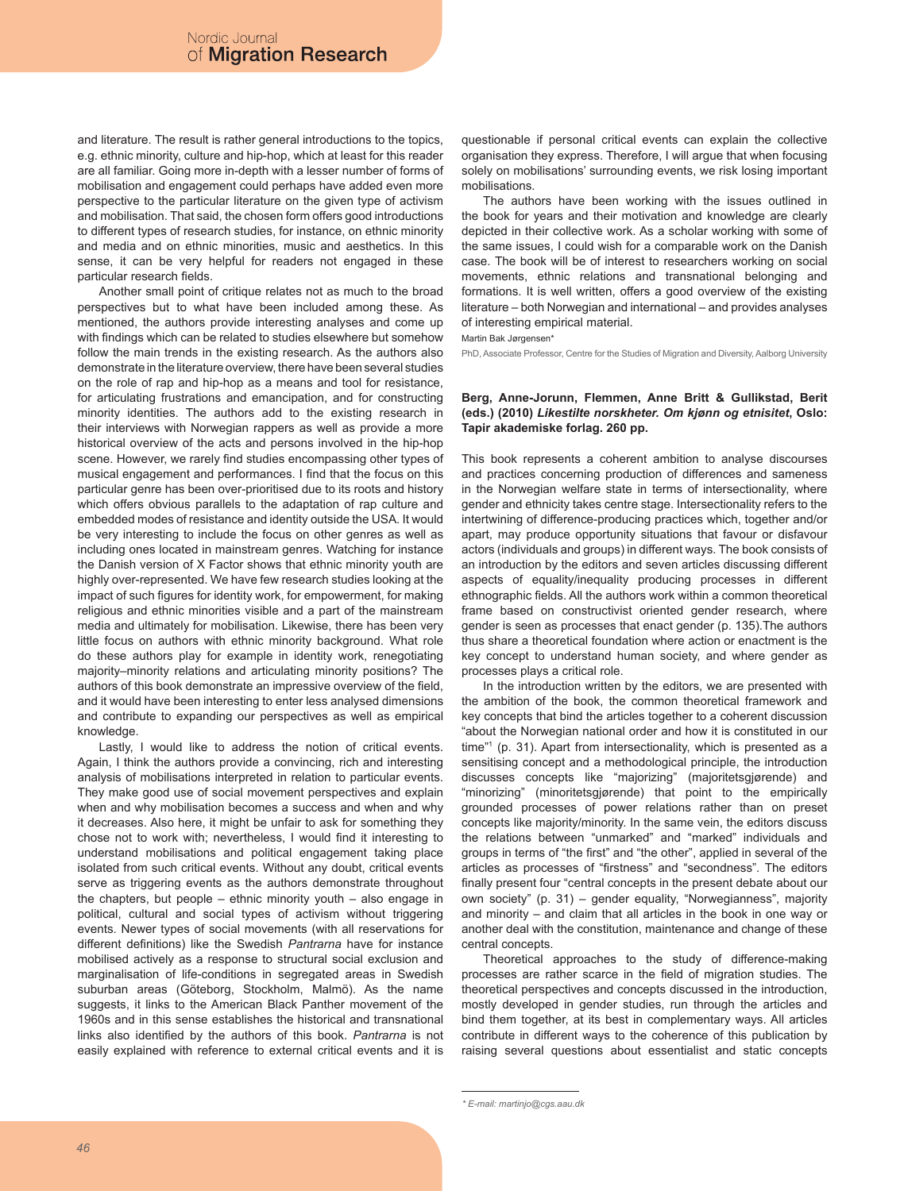and literature. The result is rather general introductions to the topics, e.g. ethnic minority, culture and hip-hop, which at least for this reader are all familiar. Going more in-depth with a lesser number of forms of mobilisation and engagement could perhaps have added even more perspective to the particular literature on the given type of activism and mobilisation. That said, the chosen form offers good introductions to different types of research studies, for instance, on ethnic minority and media and on ethnic minorities, music and aesthetics. In this sense, it can be very helpful for readers not engaged in these particular research fields.

Another small point of critique relates not as much to the broad perspectives but to what have been included among these. As mentioned, the authors provide interesting analyses and come up with findings which can be related to studies elsewhere but somehow follow the main trends in the existing research. As the authors also demonstrate in the literature overview, there have been several studies on the role of rap and hip-hop as a means and tool for resistance, for articulating frustrations and emancipation, and for constructing minority identities. The authors add to the existing research in their interviews with Norwegian rappers as well as provide a more historical overview of the acts and persons involved in the hip-hop scene. However, we rarely find studies encompassing other types of musical engagement and performances. I find that the focus on this particular genre has been over-prioritised due to its roots and history which offers obvious parallels to the adaptation of rap culture and embedded modes of resistance and identity outside the USA. It would be very interesting to include the focus on other genres as well as including ones located in mainstream genres. Watching for instance the Danish version of X Factor shows that ethnic minority youth are highly over-represented. We have few research studies looking at the impact of such figures for identity work, for empowerment, for making religious and ethnic minorities visible and a part of the mainstream media and ultimately for mobilisation. Likewise, there has been very little focus on authors with ethnic minority background. What role do these authors play for example in identity work, renegotiating majority–minority relations and articulating minority positions? The authors of this book demonstrate an impressive overview of the field, and it would have been interesting to enter less analysed dimensions and contribute to expanding our perspectives as well as empirical knowledge.

Lastly, I would like to address the notion of critical events. Again, I think the authors provide a convincing, rich and interesting analysis of mobilisations interpreted in relation to particular events. They make good use of social movement perspectives and explain when and why mobilisation becomes a success and when and why it decreases. Also here, it might be unfair to ask for something they chose not to work with; nevertheless, I would find it interesting to understand mobilisations and political engagement taking place isolated from such critical events. Without any doubt, critical events serve as triggering events as the authors demonstrate throughout the chapters, but people – ethnic minority youth – also engage in political, cultural and social types of activism without triggering events. Newer types of social movements (with all reservations for different definitions) like the Swedish *Pantrarna* have for instance mobilised actively as a response to structural social exclusion and marginalisation of life-conditions in segregated areas in Swedish suburban areas (Göteborg, Stockholm, Malmö). As the name suggests, it links to the American Black Panther movement of the 1960s and in this sense establishes the historical and transnational links also identified by the authors of this book. *Pantrarna* is not easily explained with reference to external critical events and it is

questionable if personal critical events can explain the collective organisation they express. Therefore, I will argue that when focusing solely on mobilisations' surrounding events, we risk losing important mobilisations.

The authors have been working with the issues outlined in the book for years and their motivation and knowledge are clearly depicted in their collective work. As a scholar working with some of the same issues, I could wish for a comparable work on the Danish case. The book will be of interest to researchers working on social movements, ethnic relations and transnational belonging and formations. It is well written, offers a good overview of the existing literature – both Norwegian and international – and provides analyses of interesting empirical material.

Martin Bak Jørgensen\*

PhD, Associate Professor, Centre for the Studies of Migration and Diversity, Aalborg University

## **Berg, Anne-Jorunn, Flemmen, Anne Britt & Gullikstad, Berit (eds.) (2010)** *Likestilte norskheter. Om kjønn og etnisitet***, Oslo: Tapir akademiske forlag. 260 pp.**

This book represents a coherent ambition to analyse discourses and practices concerning production of differences and sameness in the Norwegian welfare state in terms of intersectionality, where gender and ethnicity takes centre stage. Intersectionality refers to the intertwining of difference-producing practices which, together and/or apart, may produce opportunity situations that favour or disfavour actors (individuals and groups) in different ways. The book consists of an introduction by the editors and seven articles discussing different aspects of equality/inequality producing processes in different ethnographic fields. All the authors work within a common theoretical frame based on constructivist oriented gender research, where gender is seen as processes that enact gender (p. 135).The authors thus share a theoretical foundation where action or enactment is the key concept to understand human society, and where gender as processes plays a critical role.

In the introduction written by the editors, we are presented with the ambition of the book, the common theoretical framework and key concepts that bind the articles together to a coherent discussion "about the Norwegian national order and how it is constituted in our time"1 (p. 31). Apart from intersectionality, which is presented as a sensitising concept and a methodological principle, the introduction discusses concepts like "majorizing" (majoritetsgjørende) and "minorizing" (minoritetsgjørende) that point to the empirically grounded processes of power relations rather than on preset concepts like majority/minority. In the same vein, the editors discuss the relations between "unmarked" and "marked" individuals and groups in terms of "the first" and "the other", applied in several of the articles as processes of "firstness" and "secondness". The editors finally present four "central concepts in the present debate about our own society" (p. 31) – gender equality, "Norwegianness", majority and minority – and claim that all articles in the book in one way or another deal with the constitution, maintenance and change of these central concepts.

Theoretical approaches to the study of difference-making processes are rather scarce in the field of migration studies. The theoretical perspectives and concepts discussed in the introduction, mostly developed in gender studies, run through the articles and bind them together, at its best in complementary ways. All articles contribute in different ways to the coherence of this publication by raising several questions about essentialist and static concepts

*<sup>\*</sup> E-mail: martinjo@cgs.aau.dk*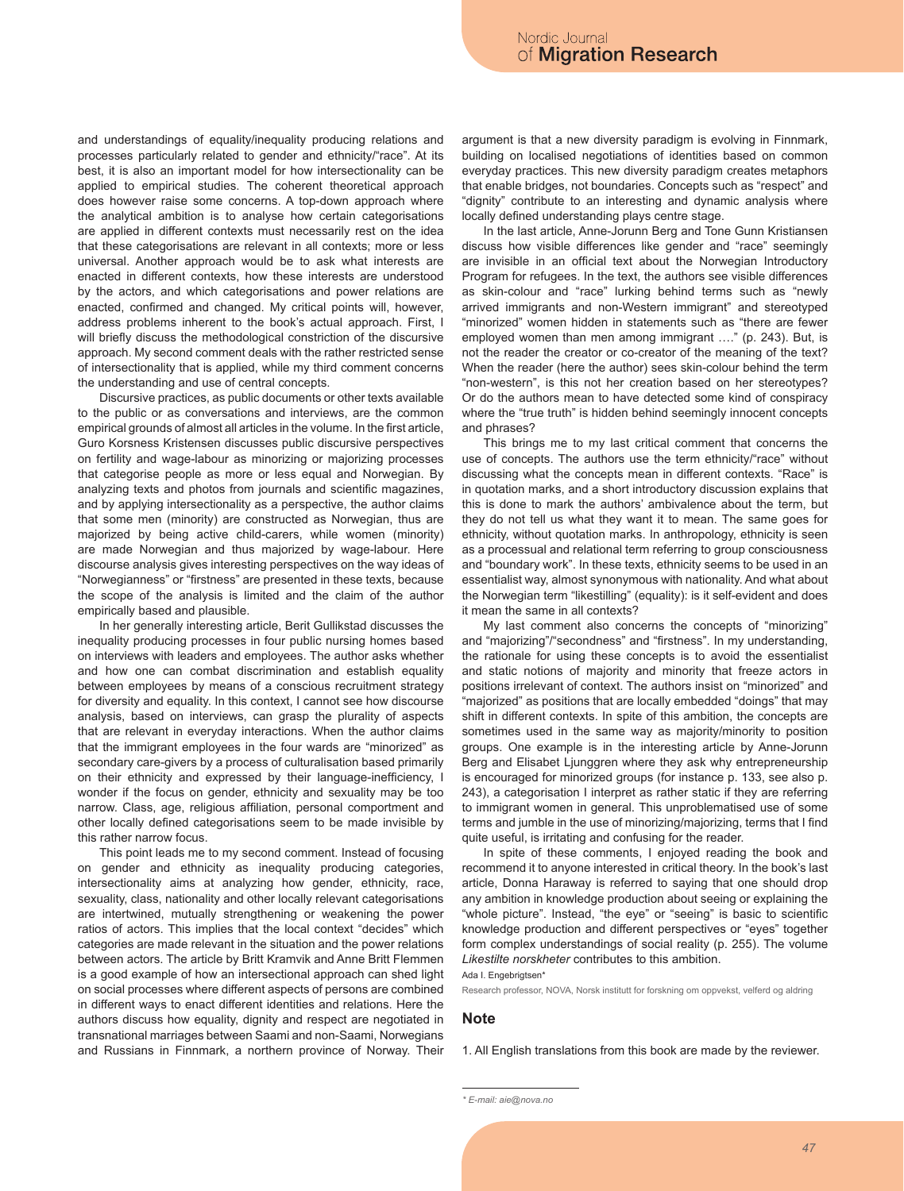and understandings of equality/inequality producing relations and processes particularly related to gender and ethnicity/"race". At its best, it is also an important model for how intersectionality can be applied to empirical studies. The coherent theoretical approach does however raise some concerns. A top-down approach where the analytical ambition is to analyse how certain categorisations are applied in different contexts must necessarily rest on the idea that these categorisations are relevant in all contexts; more or less universal. Another approach would be to ask what interests are enacted in different contexts, how these interests are understood by the actors, and which categorisations and power relations are enacted, confirmed and changed. My critical points will, however, address problems inherent to the book's actual approach. First, I will briefly discuss the methodological constriction of the discursive approach. My second comment deals with the rather restricted sense of intersectionality that is applied, while my third comment concerns the understanding and use of central concepts.

Discursive practices, as public documents or other texts available to the public or as conversations and interviews, are the common empirical grounds of almost all articles in the volume. In the first article, Guro Korsness Kristensen discusses public discursive perspectives on fertility and wage-labour as minorizing or majorizing processes that categorise people as more or less equal and Norwegian. By analyzing texts and photos from journals and scientific magazines, and by applying intersectionality as a perspective, the author claims that some men (minority) are constructed as Norwegian, thus are majorized by being active child-carers, while women (minority) are made Norwegian and thus majorized by wage-labour. Here discourse analysis gives interesting perspectives on the way ideas of "Norwegianness" or "firstness" are presented in these texts, because the scope of the analysis is limited and the claim of the author empirically based and plausible.

In her generally interesting article, Berit Gullikstad discusses the inequality producing processes in four public nursing homes based on interviews with leaders and employees. The author asks whether and how one can combat discrimination and establish equality between employees by means of a conscious recruitment strategy for diversity and equality. In this context, I cannot see how discourse analysis, based on interviews, can grasp the plurality of aspects that are relevant in everyday interactions. When the author claims that the immigrant employees in the four wards are "minorized" as secondary care-givers by a process of culturalisation based primarily on their ethnicity and expressed by their language-inefficiency, I wonder if the focus on gender, ethnicity and sexuality may be too narrow. Class, age, religious affiliation, personal comportment and other locally defined categorisations seem to be made invisible by this rather narrow focus.

This point leads me to my second comment. Instead of focusing on gender and ethnicity as inequality producing categories, intersectionality aims at analyzing how gender, ethnicity, race, sexuality, class, nationality and other locally relevant categorisations are intertwined, mutually strengthening or weakening the power ratios of actors. This implies that the local context "decides" which categories are made relevant in the situation and the power relations between actors. The article by Britt Kramvik and Anne Britt Flemmen is a good example of how an intersectional approach can shed light on social processes where different aspects of persons are combined in different ways to enact different identities and relations. Here the authors discuss how equality, dignity and respect are negotiated in transnational marriages between Saami and non-Saami, Norwegians and Russians in Finnmark, a northern province of Norway. Their

argument is that a new diversity paradigm is evolving in Finnmark, building on localised negotiations of identities based on common everyday practices. This new diversity paradigm creates metaphors that enable bridges, not boundaries. Concepts such as "respect" and "dignity" contribute to an interesting and dynamic analysis where locally defined understanding plays centre stage.

In the last article, Anne-Jorunn Berg and Tone Gunn Kristiansen discuss how visible differences like gender and "race" seemingly are invisible in an official text about the Norwegian Introductory Program for refugees. In the text, the authors see visible differences as skin-colour and "race" lurking behind terms such as "newly arrived immigrants and non-Western immigrant" and stereotyped "minorized" women hidden in statements such as "there are fewer employed women than men among immigrant …." (p. 243). But, is not the reader the creator or co-creator of the meaning of the text? When the reader (here the author) sees skin-colour behind the term "non-western", is this not her creation based on her stereotypes? Or do the authors mean to have detected some kind of conspiracy where the "true truth" is hidden behind seemingly innocent concepts and phrases?

This brings me to my last critical comment that concerns the use of concepts. The authors use the term ethnicity/"race" without discussing what the concepts mean in different contexts. "Race" is in quotation marks, and a short introductory discussion explains that this is done to mark the authors' ambivalence about the term, but they do not tell us what they want it to mean. The same goes for ethnicity, without quotation marks. In anthropology, ethnicity is seen as a processual and relational term referring to group consciousness and "boundary work". In these texts, ethnicity seems to be used in an essentialist way, almost synonymous with nationality. And what about the Norwegian term "likestilling" (equality): is it self-evident and does it mean the same in all contexts?

My last comment also concerns the concepts of "minorizing" and "majorizing"/"secondness" and "firstness". In my understanding, the rationale for using these concepts is to avoid the essentialist and static notions of majority and minority that freeze actors in positions irrelevant of context. The authors insist on "minorized" and "majorized" as positions that are locally embedded "doings" that may shift in different contexts. In spite of this ambition, the concepts are sometimes used in the same way as majority/minority to position groups. One example is in the interesting article by Anne-Jorunn Berg and Elisabet Ljunggren where they ask why entrepreneurship is encouraged for minorized groups (for instance p. 133, see also p. 243), a categorisation I interpret as rather static if they are referring to immigrant women in general. This unproblematised use of some terms and jumble in the use of minorizing/majorizing, terms that I find quite useful, is irritating and confusing for the reader.

In spite of these comments, I enjoyed reading the book and recommend it to anyone interested in critical theory. In the book's last article, Donna Haraway is referred to saying that one should drop any ambition in knowledge production about seeing or explaining the "whole picture". Instead, "the eye" or "seeing" is basic to scientific knowledge production and different perspectives or "eyes" together form complex understandings of social reality (p. 255). The volume *Likestilte norskheter* contributes to this ambition.

Ada I. Engebrigtsen\*

Research professor, NOVA, Norsk institutt for forskning om oppvekst, velferd og aldring

#### **Note**

1. All English translations from this book are made by the reviewer.

*<sup>\*</sup> E-mail: aie@nova.no*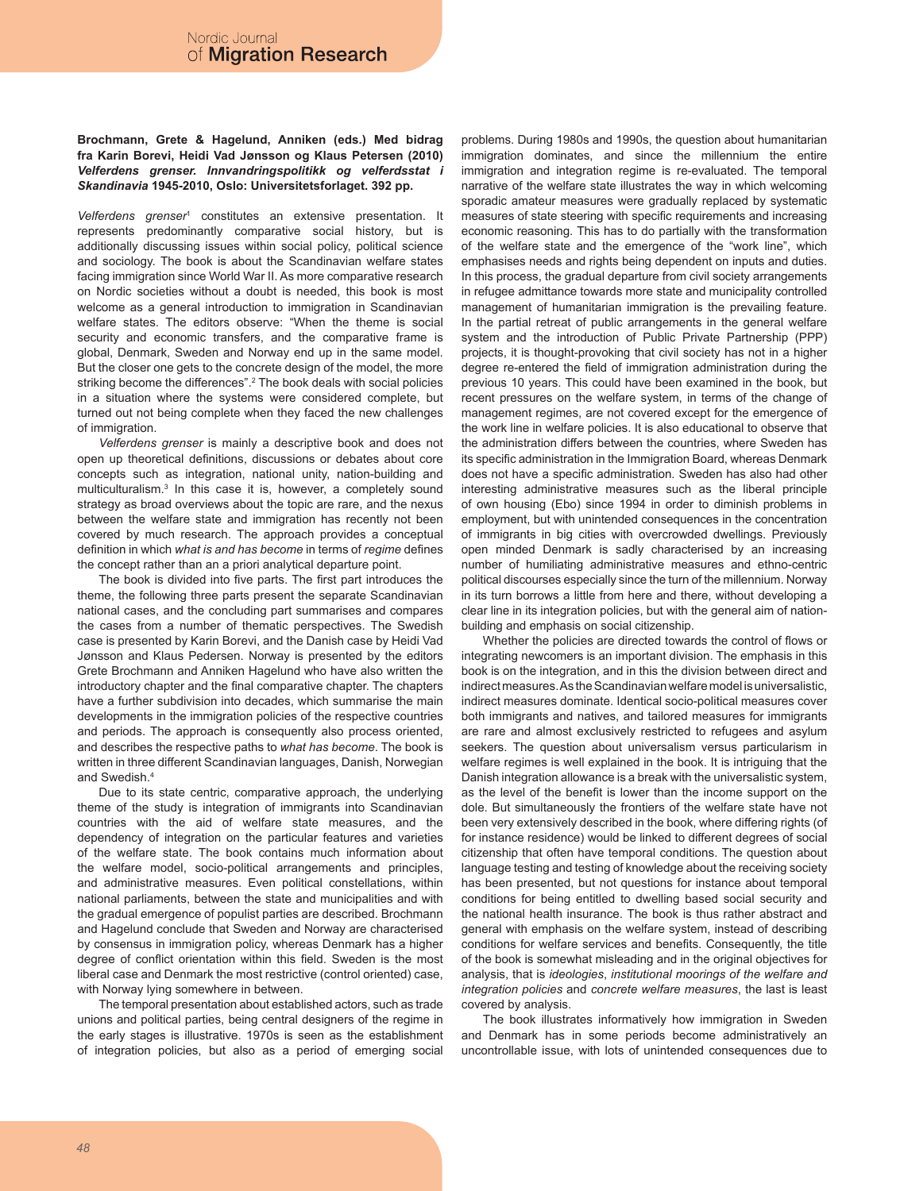## **Brochmann, Grete & Hagelund, Anniken (eds.) Med bidrag fra Karin Borevi, Heidi Vad Jønsson og Klaus Petersen (2010)**  *Velferdens grenser. Innvandringspolitikk og velferdsstat i Skandinavia* **1945-2010, Oslo: Universitetsforlaget. 392 pp.**

*Velferdens grenser*<sup>1</sup> constitutes an extensive presentation. It represents predominantly comparative social history, but is additionally discussing issues within social policy, political science and sociology. The book is about the Scandinavian welfare states facing immigration since World War II. As more comparative research on Nordic societies without a doubt is needed, this book is most welcome as a general introduction to immigration in Scandinavian welfare states. The editors observe: "When the theme is social security and economic transfers, and the comparative frame is global, Denmark, Sweden and Norway end up in the same model. But the closer one gets to the concrete design of the model, the more striking become the differences".2 The book deals with social policies in a situation where the systems were considered complete, but turned out not being complete when they faced the new challenges of immigration.

*Velferdens grenser* is mainly a descriptive book and does not open up theoretical definitions, discussions or debates about core concepts such as integration, national unity, nation-building and multiculturalism.3 In this case it is, however, a completely sound strategy as broad overviews about the topic are rare, and the nexus between the welfare state and immigration has recently not been covered by much research. The approach provides a conceptual definition in which *what is and has become* in terms of *regime* defines the concept rather than an a priori analytical departure point.

The book is divided into five parts. The first part introduces the theme, the following three parts present the separate Scandinavian national cases, and the concluding part summarises and compares the cases from a number of thematic perspectives. The Swedish case is presented by Karin Borevi, and the Danish case by Heidi Vad Jønsson and Klaus Pedersen. Norway is presented by the editors Grete Brochmann and Anniken Hagelund who have also written the introductory chapter and the final comparative chapter. The chapters have a further subdivision into decades, which summarise the main developments in the immigration policies of the respective countries and periods. The approach is consequently also process oriented, and describes the respective paths to *what has become*. The book is written in three different Scandinavian languages, Danish, Norwegian and Swedish.<sup>4</sup>

Due to its state centric, comparative approach, the underlying theme of the study is integration of immigrants into Scandinavian countries with the aid of welfare state measures, and the dependency of integration on the particular features and varieties of the welfare state. The book contains much information about the welfare model, socio-political arrangements and principles, and administrative measures. Even political constellations, within national parliaments, between the state and municipalities and with the gradual emergence of populist parties are described. Brochmann and Hagelund conclude that Sweden and Norway are characterised by consensus in immigration policy, whereas Denmark has a higher degree of conflict orientation within this field. Sweden is the most liberal case and Denmark the most restrictive (control oriented) case, with Norway lying somewhere in between.

The temporal presentation about established actors, such as trade unions and political parties, being central designers of the regime in the early stages is illustrative. 1970s is seen as the establishment of integration policies, but also as a period of emerging social problems. During 1980s and 1990s, the question about humanitarian immigration dominates, and since the millennium the entire immigration and integration regime is re-evaluated. The temporal narrative of the welfare state illustrates the way in which welcoming sporadic amateur measures were gradually replaced by systematic measures of state steering with specific requirements and increasing economic reasoning. This has to do partially with the transformation of the welfare state and the emergence of the "work line", which emphasises needs and rights being dependent on inputs and duties. In this process, the gradual departure from civil society arrangements in refugee admittance towards more state and municipality controlled management of humanitarian immigration is the prevailing feature. In the partial retreat of public arrangements in the general welfare system and the introduction of Public Private Partnership (PPP) projects, it is thought-provoking that civil society has not in a higher degree re-entered the field of immigration administration during the previous 10 years. This could have been examined in the book, but recent pressures on the welfare system, in terms of the change of management regimes, are not covered except for the emergence of the work line in welfare policies. It is also educational to observe that the administration differs between the countries, where Sweden has its specific administration in the Immigration Board, whereas Denmark does not have a specific administration. Sweden has also had other interesting administrative measures such as the liberal principle of own housing (Ebo) since 1994 in order to diminish problems in employment, but with unintended consequences in the concentration of immigrants in big cities with overcrowded dwellings. Previously open minded Denmark is sadly characterised by an increasing number of humiliating administrative measures and ethno-centric political discourses especially since the turn of the millennium. Norway in its turn borrows a little from here and there, without developing a clear line in its integration policies, but with the general aim of nationbuilding and emphasis on social citizenship.

Whether the policies are directed towards the control of flows or integrating newcomers is an important division. The emphasis in this book is on the integration, and in this the division between direct and indirect measures. As the Scandinavian welfare model is universalistic, indirect measures dominate. Identical socio-political measures cover both immigrants and natives, and tailored measures for immigrants are rare and almost exclusively restricted to refugees and asylum seekers. The question about universalism versus particularism in welfare regimes is well explained in the book. It is intriguing that the Danish integration allowance is a break with the universalistic system, as the level of the benefit is lower than the income support on the dole. But simultaneously the frontiers of the welfare state have not been very extensively described in the book, where differing rights (of for instance residence) would be linked to different degrees of social citizenship that often have temporal conditions. The question about language testing and testing of knowledge about the receiving society has been presented, but not questions for instance about temporal conditions for being entitled to dwelling based social security and the national health insurance. The book is thus rather abstract and general with emphasis on the welfare system, instead of describing conditions for welfare services and benefits. Consequently, the title of the book is somewhat misleading and in the original objectives for analysis, that is *ideologies*, *institutional moorings of the welfare and integration policies* and *concrete welfare measures*, the last is least covered by analysis.

The book illustrates informatively how immigration in Sweden and Denmark has in some periods become administratively an uncontrollable issue, with lots of unintended consequences due to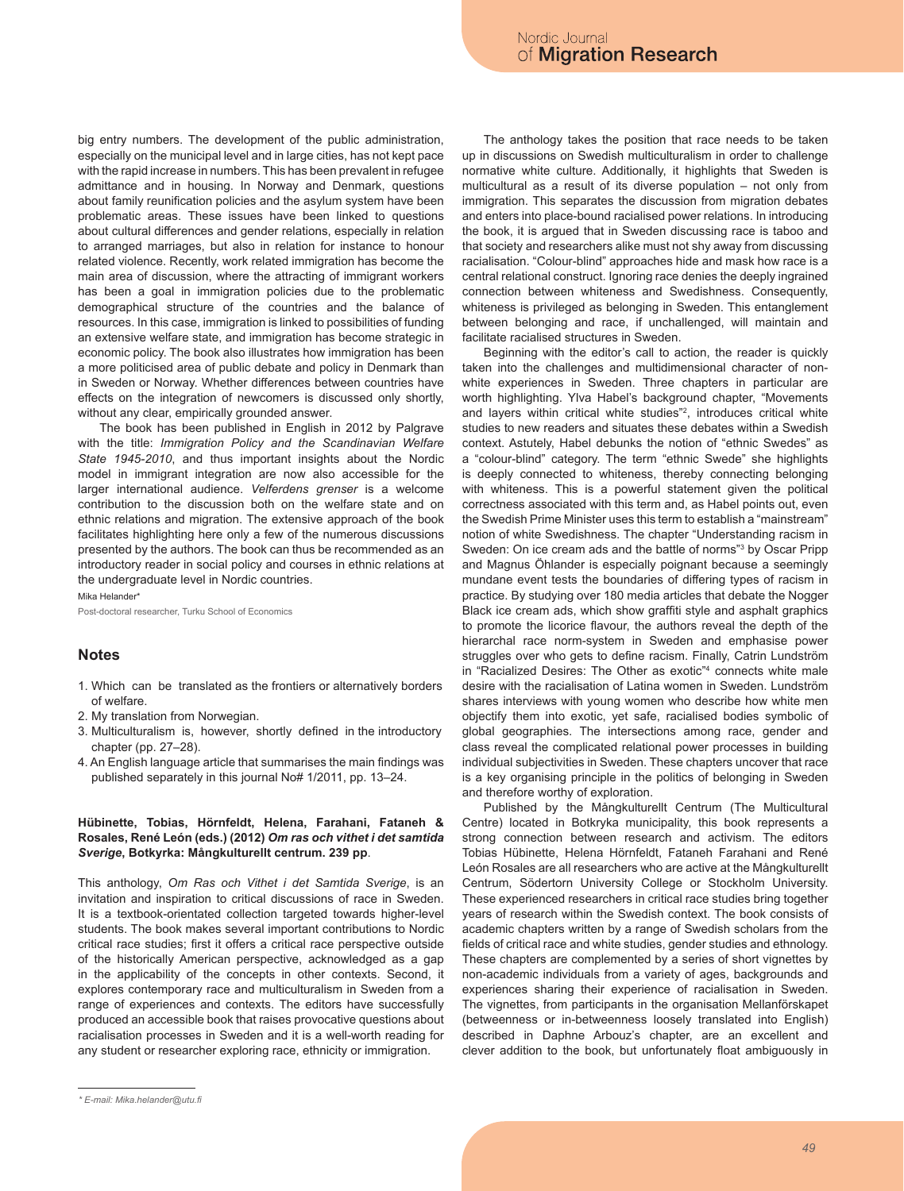big entry numbers. The development of the public administration, especially on the municipal level and in large cities, has not kept pace with the rapid increase in numbers. This has been prevalent in refugee admittance and in housing. In Norway and Denmark, questions about family reunification policies and the asylum system have been problematic areas. These issues have been linked to questions about cultural differences and gender relations, especially in relation to arranged marriages, but also in relation for instance to honour related violence. Recently, work related immigration has become the main area of discussion, where the attracting of immigrant workers has been a goal in immigration policies due to the problematic demographical structure of the countries and the balance of resources. In this case, immigration is linked to possibilities of funding an extensive welfare state, and immigration has become strategic in economic policy. The book also illustrates how immigration has been a more politicised area of public debate and policy in Denmark than in Sweden or Norway. Whether differences between countries have effects on the integration of newcomers is discussed only shortly, without any clear, empirically grounded answer.

The book has been published in English in 2012 by Palgrave with the title: *Immigration Policy and the Scandinavian Welfare State 1945-2010*, and thus important insights about the Nordic model in immigrant integration are now also accessible for the larger international audience. *Velferdens grenser* is a welcome contribution to the discussion both on the welfare state and on ethnic relations and migration. The extensive approach of the book facilitates highlighting here only a few of the numerous discussions presented by the authors. The book can thus be recommended as an introductory reader in social policy and courses in ethnic relations at the undergraduate level in Nordic countries.

Mika Helander\* Post-doctoral researcher, Turku School of Economics

## **Notes**

- 1. Which can be translated as the frontiers or alternatively borders of welfare.
- 2. My translation from Norwegian.
- 3. Multiculturalism is, however, shortly defined in the introductory chapter (pp. 27–28).
- 4. An English language article that summarises the main findings was published separately in this journal No# 1/2011, pp. 13–24.

## **Hübinette, Tobias, Hörnfeldt, Helena, Farahani, Fataneh & Rosales, René León (eds.) (2012)** *Om ras och vithet i det samtida Sverige***, Botkyrka: Mångkulturellt centrum. 239 pp**.

This anthology, *Om Ras och Vithet i det Samtida Sverige*, is an invitation and inspiration to critical discussions of race in Sweden. It is a textbook-orientated collection targeted towards higher-level students. The book makes several important contributions to Nordic critical race studies; first it offers a critical race perspective outside of the historically American perspective, acknowledged as a gap in the applicability of the concepts in other contexts. Second, it explores contemporary race and multiculturalism in Sweden from a range of experiences and contexts. The editors have successfully produced an accessible book that raises provocative questions about racialisation processes in Sweden and it is a well-worth reading for any student or researcher exploring race, ethnicity or immigration.

The anthology takes the position that race needs to be taken up in discussions on Swedish multiculturalism in order to challenge normative white culture. Additionally, it highlights that Sweden is multicultural as a result of its diverse population – not only from immigration. This separates the discussion from migration debates and enters into place-bound racialised power relations. In introducing the book, it is argued that in Sweden discussing race is taboo and that society and researchers alike must not shy away from discussing racialisation. "Colour-blind" approaches hide and mask how race is a central relational construct. Ignoring race denies the deeply ingrained connection between whiteness and Swedishness. Consequently, whiteness is privileged as belonging in Sweden. This entanglement between belonging and race, if unchallenged, will maintain and facilitate racialised structures in Sweden.

Beginning with the editor's call to action, the reader is quickly taken into the challenges and multidimensional character of nonwhite experiences in Sweden. Three chapters in particular are worth highlighting. Ylva Habel's background chapter, "Movements and layers within critical white studies"2 , introduces critical white studies to new readers and situates these debates within a Swedish context. Astutely, Habel debunks the notion of "ethnic Swedes" as a "colour-blind" category. The term "ethnic Swede" she highlights is deeply connected to whiteness, thereby connecting belonging with whiteness. This is a powerful statement given the political correctness associated with this term and, as Habel points out, even the Swedish Prime Minister uses this term to establish a "mainstream" notion of white Swedishness. The chapter "Understanding racism in Sweden: On ice cream ads and the battle of norms<sup>33</sup> by Oscar Pripp and Magnus Öhlander is especially poignant because a seemingly mundane event tests the boundaries of differing types of racism in practice. By studying over 180 media articles that debate the Nogger Black ice cream ads, which show graffiti style and asphalt graphics to promote the licorice flavour, the authors reveal the depth of the hierarchal race norm-system in Sweden and emphasise power struggles over who gets to define racism. Finally, Catrin Lundström in "Racialized Desires: The Other as exotic"4 connects white male desire with the racialisation of Latina women in Sweden. Lundström shares interviews with young women who describe how white men objectify them into exotic, yet safe, racialised bodies symbolic of global geographies. The intersections among race, gender and class reveal the complicated relational power processes in building individual subjectivities in Sweden. These chapters uncover that race is a key organising principle in the politics of belonging in Sweden and therefore worthy of exploration.

Published by the Mångkulturellt Centrum (The Multicultural Centre) located in Botkryka municipality, this book represents a strong connection between research and activism. The editors Tobias Hübinette, Helena Hörnfeldt, Fataneh Farahani and René León Rosales are all researchers who are active at the Mångkulturellt Centrum, Södertorn University College or Stockholm University. These experienced researchers in critical race studies bring together years of research within the Swedish context. The book consists of academic chapters written by a range of Swedish scholars from the fields of critical race and white studies, gender studies and ethnology. These chapters are complemented by a series of short vignettes by non-academic individuals from a variety of ages, backgrounds and experiences sharing their experience of racialisation in Sweden. The vignettes, from participants in the organisation Mellanförskapet (betweenness or in-betweenness loosely translated into English) described in Daphne Arbouz's chapter, are an excellent and clever addition to the book, but unfortunately float ambiguously in

*<sup>\*</sup> E-mail: Mika.helander@utu.fi*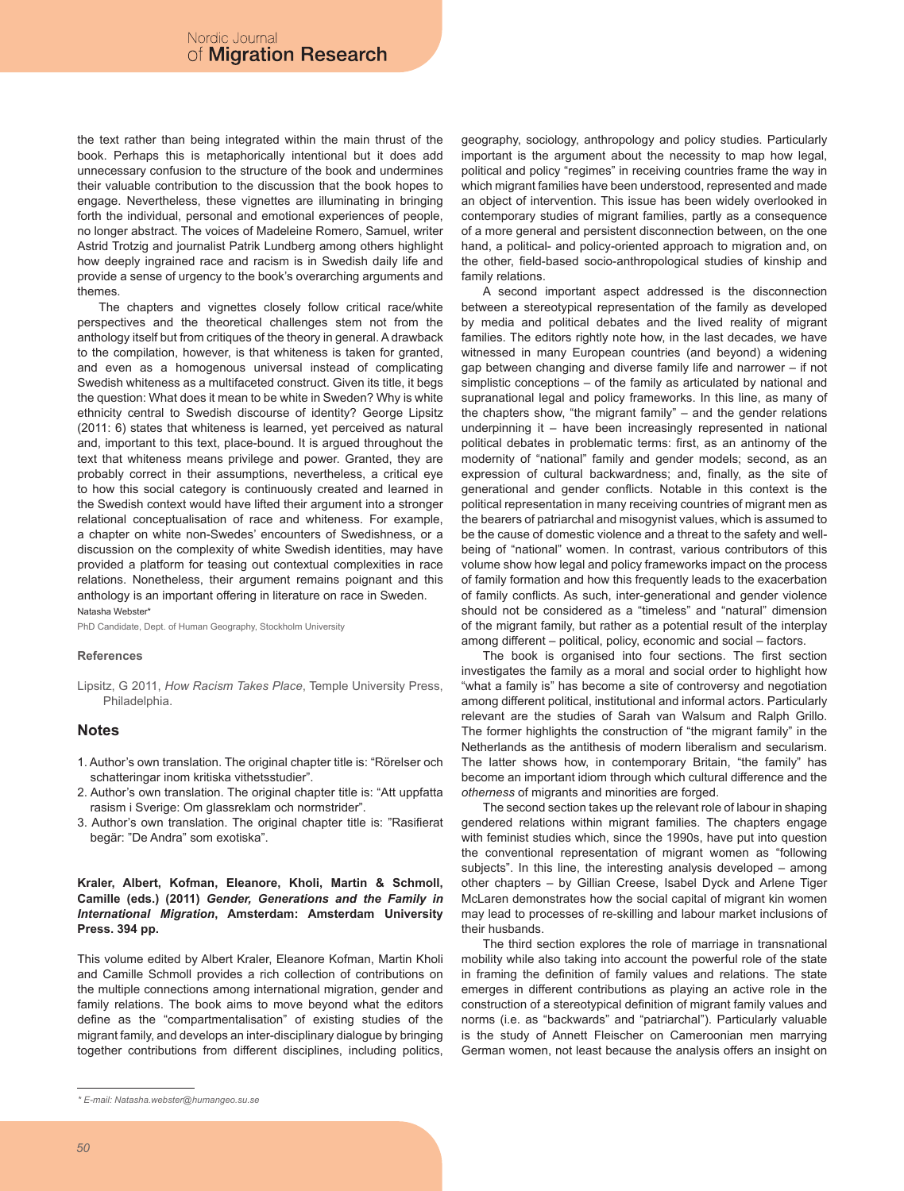the text rather than being integrated within the main thrust of the book. Perhaps this is metaphorically intentional but it does add unnecessary confusion to the structure of the book and undermines their valuable contribution to the discussion that the book hopes to engage. Nevertheless, these vignettes are illuminating in bringing forth the individual, personal and emotional experiences of people, no longer abstract. The voices of Madeleine Romero, Samuel, writer Astrid Trotzig and journalist Patrik Lundberg among others highlight how deeply ingrained race and racism is in Swedish daily life and provide a sense of urgency to the book's overarching arguments and themes.

The chapters and vignettes closely follow critical race/white perspectives and the theoretical challenges stem not from the anthology itself but from critiques of the theory in general. A drawback to the compilation, however, is that whiteness is taken for granted, and even as a homogenous universal instead of complicating Swedish whiteness as a multifaceted construct. Given its title, it begs the question: What does it mean to be white in Sweden? Why is white ethnicity central to Swedish discourse of identity? George Lipsitz (2011: 6) states that whiteness is learned, yet perceived as natural and, important to this text, place-bound. It is argued throughout the text that whiteness means privilege and power. Granted, they are probably correct in their assumptions, nevertheless, a critical eye to how this social category is continuously created and learned in the Swedish context would have lifted their argument into a stronger relational conceptualisation of race and whiteness. For example, a chapter on white non-Swedes' encounters of Swedishness, or a discussion on the complexity of white Swedish identities, may have provided a platform for teasing out contextual complexities in race relations. Nonetheless, their argument remains poignant and this anthology is an important offering in literature on race in Sweden. Natasha Webster\*

PhD Candidate, Dept. of Human Geography, Stockholm University

### **References**

Lipsitz, G 2011, *How Racism Takes Place*, Temple University Press, Philadelphia.

## **Notes**

- 1. Author's own translation. The original chapter title is: "Rörelser och schatteringar inom kritiska vithetsstudier".
- 2. Author's own translation. The original chapter title is: "Att uppfatta rasism i Sverige: Om glassreklam och normstrider".
- 3. Author's own translation. The original chapter title is: "Rasifierat begär: "De Andra" som exotiska".

## **Kraler, Albert, Kofman, Eleanore, Kholi, Martin & Schmoll, Camille (eds.) (2011)** *Gender, Generations and the Family in International Migration***, Amsterdam: Amsterdam University Press. 394 pp.**

This volume edited by Albert Kraler, Eleanore Kofman, Martin Kholi and Camille Schmoll provides a rich collection of contributions on the multiple connections among international migration, gender and family relations. The book aims to move beyond what the editors define as the "compartmentalisation" of existing studies of the migrant family, and develops an inter-disciplinary dialogue by bringing together contributions from different disciplines, including politics,

geography, sociology, anthropology and policy studies. Particularly important is the argument about the necessity to map how legal, political and policy "regimes" in receiving countries frame the way in which migrant families have been understood, represented and made an object of intervention. This issue has been widely overlooked in contemporary studies of migrant families, partly as a consequence of a more general and persistent disconnection between, on the one hand, a political- and policy-oriented approach to migration and, on the other, field-based socio-anthropological studies of kinship and family relations.

A second important aspect addressed is the disconnection between a stereotypical representation of the family as developed by media and political debates and the lived reality of migrant families. The editors rightly note how, in the last decades, we have witnessed in many European countries (and beyond) a widening gap between changing and diverse family life and narrower – if not simplistic conceptions – of the family as articulated by national and supranational legal and policy frameworks. In this line, as many of the chapters show, "the migrant family" – and the gender relations underpinning it – have been increasingly represented in national political debates in problematic terms: first, as an antinomy of the modernity of "national" family and gender models; second, as an expression of cultural backwardness; and, finally, as the site of generational and gender conflicts. Notable in this context is the political representation in many receiving countries of migrant men as the bearers of patriarchal and misogynist values, which is assumed to be the cause of domestic violence and a threat to the safety and wellbeing of "national" women. In contrast, various contributors of this volume show how legal and policy frameworks impact on the process of family formation and how this frequently leads to the exacerbation of family conflicts. As such, inter-generational and gender violence should not be considered as a "timeless" and "natural" dimension of the migrant family, but rather as a potential result of the interplay among different – political, policy, economic and social – factors.

The book is organised into four sections. The first section investigates the family as a moral and social order to highlight how "what a family is" has become a site of controversy and negotiation among different political, institutional and informal actors. Particularly relevant are the studies of Sarah van Walsum and Ralph Grillo. The former highlights the construction of "the migrant family" in the Netherlands as the antithesis of modern liberalism and secularism. The latter shows how, in contemporary Britain, "the family" has become an important idiom through which cultural difference and the *otherness* of migrants and minorities are forged.

The second section takes up the relevant role of labour in shaping gendered relations within migrant families. The chapters engage with feminist studies which, since the 1990s, have put into question the conventional representation of migrant women as "following subjects". In this line, the interesting analysis developed – among other chapters – by Gillian Creese, Isabel Dyck and Arlene Tiger McLaren demonstrates how the social capital of migrant kin women may lead to processes of re-skilling and labour market inclusions of their husbands.

The third section explores the role of marriage in transnational mobility while also taking into account the powerful role of the state in framing the definition of family values and relations. The state emerges in different contributions as playing an active role in the construction of a stereotypical definition of migrant family values and norms (i.e. as "backwards" and "patriarchal"). Particularly valuable is the study of Annett Fleischer on Cameroonian men marrying German women, not least because the analysis offers an insight on

*<sup>\*</sup> E-mail: Natasha.webster@humangeo.su.se*